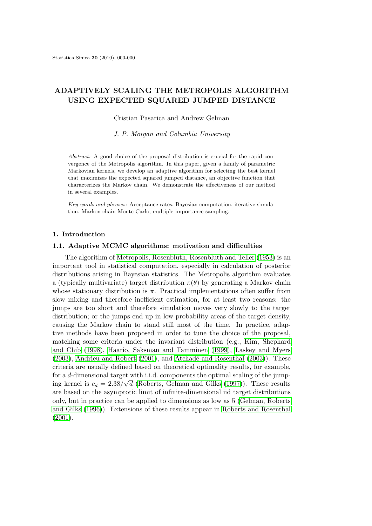# **ADAPTIVELY SCALING THE METROPOLIS ALGORITHM USING EXPECTED SQUARED JUMPED DISTANCE**

Cristian Pasarica and Andrew Gelman

*J. P. Morgan and Columbia University*

*Abstract:* A good choice of the proposal distribution is crucial for the rapid convergence of the Metropolis algorithm. In this paper, given a family of parametric Markovian kernels, we develop an adaptive algorithm for selecting the best kernel that maximizes the expected squared jumped distance, an objective function that characterizes the Markov chain. We demonstrate the effectiveness of our method in several examples.

*Key words and phrases:* Acceptance rates, Bayesian computation, iterative simulation, Markov chain Monte Carlo, multiple importance sampling.

## **1. Introduction**

#### **1.1. Adaptive MCMC algorithms: motivation and difficulties**

The algorithm of Metropolis, Rosenbluth, Rosenbluth and Teller (1953) is an important tool in statistical computation, especially in calculation of posterior distributions arising in Bayesian statistics. The Metropolis algorithm evaluates a (typically multivariate) target distribution  $\pi(\theta)$  by generating a Markov chain whose stationary distribution is *π*[. Practical implementations often suffer](#page-20-0) from slow mixing and therefore inefficient estimation, for at least two reasons: the jumps are too short and therefore simulation moves very slowly to the target distribution; or the jumps end up in low probability areas of the target density, causing the Markov chain to stand still most of the time. In practice, adaptive methods have been proposed in order to tune the choice of the proposal, matching some criteria under the invariant distribution (e.g., Kim, Shephard and Chib (1998), Haario, Saksman and Tamminen (1999), Laskey and Myers  $(2003)$ , Andrieu and Robert  $(2001)$ , and Atchadé and Rosenthal  $(2003)$ ). These criteria are usually defined based on theoretical optimality results, for example, for a *d*-dimensional target with i.i.d. components the optimal sca[ling of the jump-](#page-20-0)*√* [ing kernel](#page-20-0) [is](#page-20-0)  $c_d = 2.38/\sqrt{d}$  [\(Roberts, Gelman and G](#page-20-0)i[lks](#page-20-0) (19[97\)\). These results](#page-20-0) [are ba](#page-20-0)s[ed on the asymptotic](#page-19-0) [limit](#page-19-0) of infi[nite-dimensional iid targ](#page-19-0)e[t dist](#page-19-0)ributions only, but in practice can be applied to dimensions as low as 5 (Gelman, Roberts and Gilks (1996)). Extensio[ns of these results appear in](#page-21-0) [Robert](#page-21-0)s and Rosenthal (2001).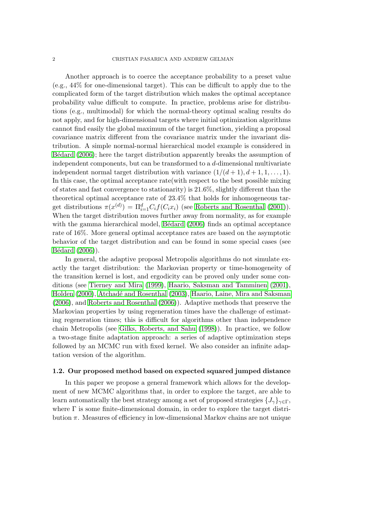Another approach is to coerce the acceptance probability to a preset value (e.g., 44% for one-dimensional target). This can be difficult to apply due to the complicated form of the target distribution which makes the optimal acceptance probability value difficult to compute. In practice, problems arise for distributions (e.g., multimodal) for which the normal-theory optimal scaling results do not apply, and for high-dimensional targets where initial optimization algorithms cannot find easily the global maximum of the target function, yielding a proposal covariance matrix different from the covariance matrix under the invariant distribution. A simple normal-normal hierarchical model example is considered in Bédard (2006); here the target distribution apparently breaks the assumption of independent components, but can be transformed to a *d*-dimensional multivariate independent normal target distribution with variance  $(1/(d+1), d+1, 1, \ldots, 1)$ . In this case, the optimal acceptance rate(with respect to the best possible mixing [of states and f](#page-19-0)ast convergence to stationarity) is 21.6%, slightly different than the theoretical optimal acceptance rate of 23.4% that holds for inhomogeneous target distributions  $\pi(x^{(d)}) = \Pi_{i=1}^d C_i f(C_i x_i)$  (see Roberts and Rosenthal (2001)). When the target distribution moves further away from normality, as for example with the gamma hierarchical model, Bédard  $(2006)$  finds an optimal acceptance rate of 16%. More general optimal acceptance rates are based on the asymptotic behavior of the target distribution and can be [found in some special c](#page-21-0)a[ses \(s](#page-21-0)ee  $Bédard (2006)$ .

In general, the adaptive proposa[l Metropolis a](#page-19-0)lgorithms do not simulate exactly the target distribution: the Markovian property or time-homogeneity of the tran[sition](#page-19-0) kernel is lost, and ergodicity can be proved only under some con[ditions](#page-19-0) (see Tierney and Mira (1999), Haario, Saksman and Tamminen (2001), Holden (2000), Atchad´e and Rosenthal (2003), Haario, Laine, Mira and Saksman (2006), and Roberts and Rosenthal (2006)). Adaptive methods that preserve the Markovian properties by using regeneration times have the challenge of estimating regener[ation times; this is](#page-21-0) [difficu](#page-21-0)l[t for algorithms other than independenc](#page-20-0)e [chain Metrop](#page-20-0)olis (see [Gilks, Roberts, and Sa](#page-19-0)hu [\(1998\)\). In practice, we follow](#page-20-0) [a two-](#page-20-0)stage [finite adaptation approach: a](#page-21-0) series of adaptive optimization steps followed by an MCMC run with fixed kernel. We also consider an infinite adaptation version of the a[lgorithm.](#page-20-0)

## **1.2. Our proposed method based on expected squared jumped distance**

In this paper we propose a general framework which allows for the development of new MCMC algorithms that, in order to explore the target, are able to learn automatically the best strategy among a set of proposed strategies  $\{J_\gamma\}_{\gamma \in \Gamma}$ , where  $\Gamma$  is some finite-dimensional domain, in order to explore the target distribution  $\pi$ . Measures of efficiency in low-dimensional Markov chains are not unique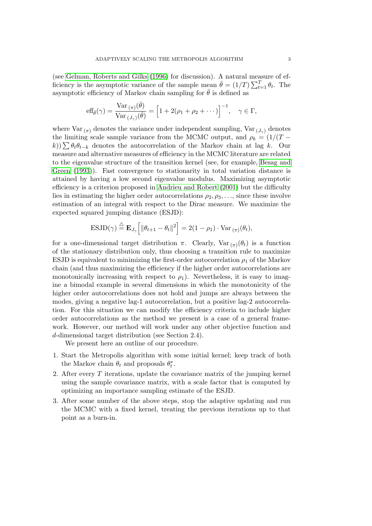(see Gelman, Roberts and Gilks (1996) for discussion). A natural measure of efficiency is the asymptotic variance of the sample mean  $\bar{\theta} = (1/T) \sum_{t=1}^{T} \theta_t$ . The asymptotic efficiency of Markov chain sampling for  $\bar{\theta}$  is defined as

$$
\text{eff}_{\bar{\theta}}(\gamma) = \frac{\text{Var}_{(\pi)}(\bar{\theta})}{\text{Var}_{(J_{\gamma})}(\bar{\theta})} = \left[1 + 2(\rho_1 + \rho_2 + \cdots)\right]^{-1}, \quad \gamma \in \Gamma,
$$

where Var  $_{(\pi)}$  denotes the variance under independent sampling, Var  $_{(J_{\gamma})}$  denotes the limiting scale sample variance from the MCMC output, and  $\rho_k = (1/(T$ *k*))∑ $\theta_t \theta_{t-k}$  denotes the autocorrelation of the Markov chain at lag *k*. Our measure and alternative measures of efficiency in the MCMC literature are related to the eigenvalue structure of the transition kernel (see, for example, Besag and Green (1993)). Fast convergence to stationarity in total variation distance is attained by having a low second eigenvalue modulus. Maximizing asymptotic efficiency is a criterion proposed in Andrieu and Robert (2001) but the difficulty lies in estimating the higher order autocorrelations  $\rho_2, \rho_3, \ldots$ , since th[ese involve](#page-20-0) [estima](#page-20-0)t[ion of](#page-20-0) an integral with respect to the Dirac measure. We maximize the expected squared jumping distanc[e \(ESJD\):](#page-19-0)

$$
\text{ESJD}(\gamma) \stackrel{\triangle}{=} \mathbf{E}_{J_{\gamma}}\Big[\|\theta_{t+1} - \theta_t\|^2\Big] = 2(1 - \rho_1) \cdot \text{Var}_{(\pi)}(\theta_t),
$$

for a one-dimensional target distribution  $\pi$ . Clearly,  $Var_{(\pi)}(\theta_t)$  is a function of the stationary distribution only, thus choosing a transition rule to maximize ESJD is equivalent to minimizing the first-order autocorrelation  $\rho_1$  of the Markov chain (and thus maximizing the efficiency if the higher order autocorrelations are monotonically increasing with respect to  $\rho_1$ ). Nevertheless, it is easy to imagine a bimodal example in several dimensions in which the monotonicity of the higher order autocorrelations does not hold and jumps are always between the modes, giving a negative lag-1 autocorrelation, but a positive lag-2 autocorrelation. For this situation we can modify the efficiency criteria to include higher order autocorrelations as the method we present is a case of a general framework. However, our method will work under any other objective function and *d*-dimensional target distribution (see Section 2.4).

We present here an outline of our procedure.

- 1. Start the Metropolis algorithm with some initial kernel; keep track of both the Markov chain  $\theta_t$  and proposals  $\theta_t^*$ .
- 2. After every *T* iterations, update the covariance matrix of the jumping kernel using the sample covariance matrix, with a scale factor that is computed by optimizing an importance sampling estimate of the ESJD.
- 3. After some number of the above steps, stop the adaptive updating and run the MCMC with a fixed kernel, treating the previous iterations up to that point as a burn-in.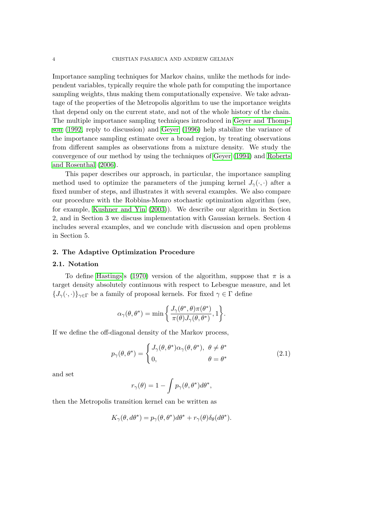Importance sampling techniques for Markov chains, unlike the methods for independent variables, typically require the whole path for computing the importance sampling weights, thus making them computationally expensive. We take advantage of the properties of the Metropolis algorithm to use the importance weights that depend only on the current state, and not of the whole history of the chain. The multiple importance sampling techniques introduced in Geyer and Thompson (1992, reply to discussion) and Geyer (1996) help stabilize the variance of the importance sampling estimate over a broad region, by treating observations from different samples as observations from a mixture den[sity. We study the](#page-20-0) conv[ergenc](#page-20-0)e of our method by using [the technique](#page-20-0)s of Geyer (1994) and Roberts [and](#page-20-0) Rosenthal (2006).

This paper describes our approach, in particular, the importance sampling method used to optimize the parameters of the jumping kernel  $J_{\gamma}(\cdot, \cdot)$  after a [fixed number o](#page-21-0)f steps, and illustrates it with several e[xamples. We](#page-20-0) also compare our procedure [with t](#page-21-0)he Robbins-Monro stochastic optimization algorithm (see, for example, Kushner and Yin (2003)). We describe our algorithm in Section 2, and in Section 3 we discuss implementation with Gaussian kernels. Section 4 includes several examples, and we conclude with discussion and open problems in Section 5.

#### **2. The Adaptive Optimization Procedure**

#### **2.1. Notation**

To define Hastings's (1970) version of the algorithm, suppose that *π* is a target density absolutely continuous with respect to Lebesgue measure, and let  ${J_{\gamma}(\cdot,\cdot)}_{\gamma\in\Gamma}$  be a family of proposal kernels. For fixed  $\gamma \in \Gamma$  define

$$
\alpha_{\gamma}(\theta,\theta^*) = \min \left\{ \frac{J_{\gamma}(\theta^*,\theta)\pi(\theta^*)}{\pi(\theta)J_{\gamma}(\theta,\theta^*)},1 \right\}.
$$

If we define the off-diagonal density of the Markov process,

$$
p_{\gamma}(\theta, \theta^*) = \begin{cases} J_{\gamma}(\theta, \theta^*) \alpha_{\gamma}(\theta, \theta^*), & \theta \neq \theta^* \\ 0, & \theta = \theta^* \end{cases}
$$
(2.1)

and set

$$
r_{\gamma}(\theta) = 1 - \int p_{\gamma}(\theta, \theta^*) d\theta^*,
$$

then the Metropolis transition kernel can be written as

$$
K_{\gamma}(\theta, d\theta^*) = p_{\gamma}(\theta, \theta^*)d\theta^* + r_{\gamma}(\theta)\delta_{\theta}(d\theta^*).
$$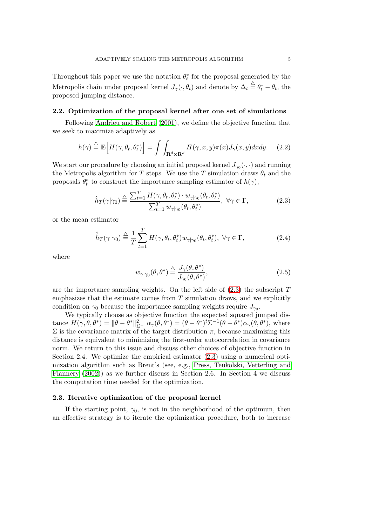<span id="page-4-0"></span>Throughout this paper we use the notation  $\theta_t^*$  for the proposal generated by the Metropolis chain under proposal kernel  $J_{\gamma}(\cdot, \theta_t)$  and denote by  $\Delta_t \stackrel{\triangle}{=} \theta_t^* - \theta_t$ , the proposed jumping distance.

#### **2.2. Optimization of the proposal kernel after one set of simulations**

Following Andrieu and Robert (2001), we define the objective function that we seek to maximize adaptively as

$$
h(\gamma) \stackrel{\triangle}{=} \mathbf{E}\Big[H(\gamma, \theta_t, \theta_t^*)\Big] = \int \int_{\mathbf{R}^d \times \mathbf{R}^d} H(\gamma, x, y)\pi(x)J_\gamma(x, y)dxdy. \tag{2.2}
$$

We start our procedure by choosing an initial proposal kernel  $J_{\gamma_0}(\cdot, \cdot)$  and running the Metropolis algorithm for *T* steps. We use the *T* simulation draws  $\theta_t$  and the proposals  $\theta_t^*$  to construct the importance sampling estimator of  $h(\gamma)$ ,

$$
\hat{h}_T(\gamma|\gamma_0) \stackrel{\triangle}{=} \frac{\sum_{t=1}^T H(\gamma, \theta_t, \theta_t^*) \cdot w_{\gamma|\gamma_0}(\theta_t, \theta_t^*)}{\sum_{t=1}^T w_{\gamma|\gamma_0}(\theta_t, \theta_t^*)}, \ \forall \gamma \in \Gamma,
$$
\n(2.3)

or the mean estimator

$$
\hat{\hat{h}}_T(\gamma|\gamma_0) \stackrel{\triangle}{=} \frac{1}{T} \sum_{t=1}^T H(\gamma, \theta_t, \theta_t^*) w_{\gamma|\gamma_0}(\theta_t, \theta_t^*), \ \forall \gamma \in \Gamma,
$$
\n(2.4)

where

$$
w_{\gamma|\gamma_0}(\theta,\theta^*) \stackrel{\triangle}{=} \frac{J_\gamma(\theta,\theta^*)}{J_{\gamma_0}(\theta,\theta^*)},\tag{2.5}
$$

are the importance sampling weights. On the left side of (2.3) the subscript *T* emphasizes that the estimate comes from *T* simulation draws, and we explicitly condition on  $\gamma_0$  because the importance sampling weights require  $J_{\gamma_0}$ .

We typically choose as objective function the expected squared jumped distance  $H(\gamma, \theta, \theta^*) = ||\theta - \theta^*||_{\Sigma^{-1}}^2 \alpha_{\gamma}(\theta, \theta^*) = (\theta - \theta^*)^t \Sigma^{-1} (\theta - \theta^*) \alpha_{\gamma}(\theta, \theta^*)$ , where  $\Sigma$  is the covariance matrix of the target distribution  $π$ , because maximizing this distance is equivalent to minimizing the first-order autocorrelation in covariance norm. We return to this issue and discuss other choices of objective function in Section 2.4. We optimize the empirical estimator (2.3) using a numerical optimization algorithm such as Brent's (see, e.g., Press, Teukolski, Vetterling and Flannery (2002)) as we further discuss in Section 2.6. In Section 4 we discuss the computation time needed for the optimization.

### **2.3. Iterative optimization of the propos[al kernel](#page-20-0)**

[If the starti](#page-20-0)ng point,  $\gamma_0$ , is not in the neighborhood of the optimum, then an effective strategy is to iterate the optimization procedure, both to increase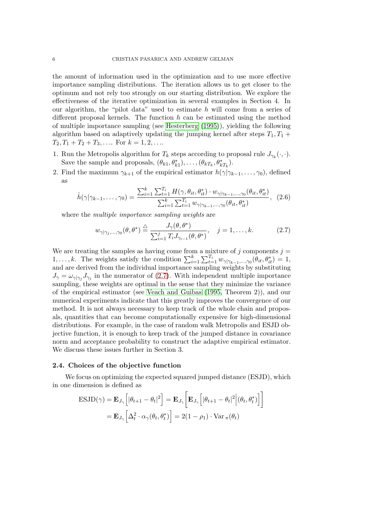the amount of information used in the optimization and to use more effective importance sampling distributions. The iteration allows us to get closer to the optimum and not rely too strongly on our starting distribution. We explore the effectiveness of the iterative optimization in several examples in Section 4. In our algorithm, the "pilot data" used to estimate *h* will come from a series of different proposal kernels. The function *h* can be estimated using the method of multiple importance sampling (see Hesterberg (1995)), yielding the following algorithm based on adaptively updating the jumping kernel after steps  $T_1, T_1 +$  $T_2, T_1 + T_2 + T_3, \ldots$  For  $k = 1, 2, \ldots$ 

- 1. Run the Metropolis algorithm for  $T_k$  [steps according](#page-20-0) to proposal rule  $J_{\gamma_k}(\cdot, \cdot)$ . Save the sample and proposals,  $(\theta_{k1}, \theta_{k1}^*), \ldots, (\theta_{kT_k}, \theta_{kT_k}^*).$
- 2. Find the maximum  $\gamma_{k+1}$  of the empirical estimator  $h(\gamma|\gamma_{k-1},\ldots,\gamma_0)$ , defined as

$$
\hat{h}(\gamma|\gamma_{k-1},\ldots,\gamma_0) = \frac{\sum_{i=1}^k \sum_{t=1}^{T_i} H(\gamma,\theta_{it},\theta_{it}^*) \cdot w_{\gamma|\gamma_{k-1},\ldots,\gamma_0}(\theta_{it},\theta_{it}^*)}{\sum_{i=1}^k \sum_{t=1}^{T_i} w_{\gamma|\gamma_{k-1},\ldots,\gamma_0}(\theta_{it},\theta_{it}^*)},\tag{2.6}
$$

where the *multiple importance sampling weights* are

$$
w_{\gamma|\gamma_j,\dots,\gamma_0}(\theta,\theta^*) \stackrel{\triangle}{=} \frac{J_\gamma(\theta,\theta^*)}{\sum_{i=1}^j T_i J_{\gamma_{i-1}}(\theta,\theta^*)}, \quad j=1,\dots,k. \tag{2.7}
$$

We are treating the samples as having come from a mixture of  $j$  components  $j =$ 1, ..., k. The weights satisfy the condition  $\sum_{i=1}^{k} \sum_{t=1}^{T_i} w_{\gamma|\gamma_{k-1},..., \gamma_0}(\theta_{it}, \theta_{it}^*) = 1$ , and are derived from the individual importance sampling weights by substituting  $J_{\gamma} = \omega_{\gamma|\gamma_j} J_{\gamma_j}$  in the numerator of (2.7). With independent multiple importance sampling, these weights are optimal in the sense that they minimize the variance of the empirical estimator (see Veach and Guibas (1995, Theorem 2)), and our numerical experiments indicate that this greatly improves the convergence of our method. It is not always necessary to keep track of the whole chain and proposals, quantities that can become computationally expensive for high-dimensional distributions. For example, in t[he case of random walk M](#page-21-0)etropolis and ESJD objective function, it is enough to keep track of the jumped distance in covariance norm and acceptance probability to construct the adaptive empirical estimator. We discuss these issues further in Section 3.

#### **2.4. Choices of the objective function**

We focus on optimizing the expected squared jumped distance (ESJD), which in one dimension is defined as

$$
\text{ESJD}(\gamma) = \mathbf{E}_{J_{\gamma}} \left[ |\theta_{t+1} - \theta_t|^2 \right] = \mathbf{E}_{J_{\gamma}} \left[ \mathbf{E}_{J_{\gamma}} \left[ |\theta_{t+1} - \theta_t|^2 \Big| (\theta_t, \theta_t^*) \right] \right]
$$

$$
= \mathbf{E}_{J_{\gamma}} \left[ \Delta_t^2 \cdot \alpha_{\gamma}(\theta_t, \theta_t^*) \right] = 2(1 - \rho_1) \cdot \text{Var}_{\pi}(\theta_t)
$$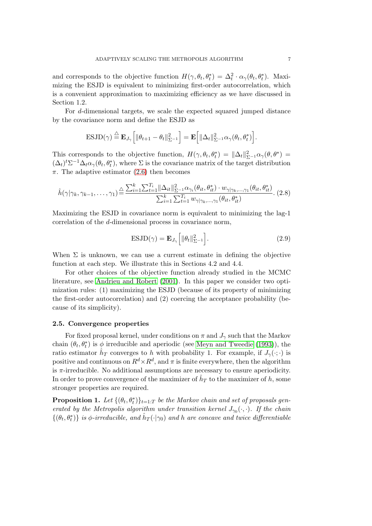and corresponds to the objective function  $H(\gamma, \theta_t, \theta_t^*) = \Delta_t^2 \cdot \alpha_{\gamma}(\theta_t, \theta_t^*)$ . Maximizing the ESJD is equivalent to minimizing first-order autocorrelation, which is a convenient approximation to maximizing efficiency as we have discussed in Section 1.2.

For *d*-dimensional targets, we scale the expected squared jumped distance by the covariance norm and define the ESJD as

$$
\text{ESJD}(\gamma) \stackrel{\triangle}{=} \mathbf{E}_{J_{\gamma}}\Big[\|\theta_{t+1} - \theta_t\|_{\Sigma^{-1}}^2\Big] = \mathbf{E}\Big[\|\Delta_t\|_{\Sigma^{-1}}^2 \alpha_{\gamma}(\theta_t, \theta_t^*)\Big].
$$

This corresponds to the objective function,  $H(\gamma, \theta_t, \theta_t^*) = ||\Delta_t||_{\Sigma^{-1}}^2 \alpha_\gamma(\theta, \theta^*) =$  $(\Delta_t)^t \Sigma^{-1} \Delta_t \alpha_\gamma(\theta_t, \theta_t^*)$ , where  $\Sigma$  is the covariance matrix of the target distribution  $\pi$ . The adaptive estimator (2.6) then becomes

$$
\hat{h}(\gamma|\gamma_k, \gamma_{k-1}, \dots, \gamma_1) \stackrel{\triangle}{=} \frac{\sum_{i=1}^k \sum_{t=1}^{T_i} ||\Delta_{it}||_{\Sigma^{-1}}^2 \alpha_{\gamma_i}(\theta_{it}, \theta_{it}^*) \cdot w_{\gamma|\gamma_k, \dots, \gamma_1}(\theta_{it}, \theta_{it}^*)}{\sum_{i=1}^k \sum_{t=1}^{T_i} w_{\gamma|\gamma_k, \dots, \gamma_1}(\theta_{it}, \theta_{it}^*)}.\n\tag{2.8}
$$

Maximizing the ESJD in covariance norm is equivalent to minimizing the lag-1 correlation of the *d*-dimensional process in covariance norm,

$$
\text{ESJD}(\gamma) = \mathbf{E}_{J_{\gamma}} \left[ \|\theta_t\|_{\Sigma^{-1}}^2 \right]. \tag{2.9}
$$

When  $\Sigma$  is unknown, we can use a current estimate in defining the objective function at each step. We illustrate this in Sections 4.2 and 4.4.

For other choices of the objective function already studied in the MCMC literature, see Andrieu and Robert (2001). In this paper we consider two optimization rules: (1) maximizing the ESJD (because of its property of minimizing the first-order autocorrelation) and (2) coercing the acceptance probability (because of its si[mplicity\).](#page-19-0)

#### **2.5. Convergence properties**

For fixed proposal kernel, under conditions on  $\pi$  and  $J_{\gamma}$  such that the Markov chain  $(\theta_t, \theta_t^*)$  is  $\phi$  irreducible and aperiodic (see Meyn and Tweedie (1993)), the ratio estimator  $\hat{h}_T$  converges to *h* with probability 1. For example, if  $J_\gamma(\cdot;\cdot)$  is positive and continuous on  $R^d \times R^d$ , and  $\pi$  is finite everywhere, then the algorithm is  $\pi$ -irreducible. No additional assumptions are necessary to ensure aperiodicity. In order to prove convergence of the maximizer of  $\hat{h}_T$  [to the maximizer of](#page-20-0)  $h$ , some stronger properties are required.

**Proposition 1.** Let  $\{(\theta_t, \theta_t^*)\}_{t=1:T}$  be the Markov chain and set of proposals gen*erated by the Metropolis algorithm under transition kernel*  $J_{\gamma_0}(\cdot, \cdot)$ *. If the chain*  $\{(\theta_t, \theta_t^*)\}$  *is*  $\phi$ *-irreducible, and*  $\hat{h}_T(\cdot|\gamma_0)$  *and h* are concave and twice differentiable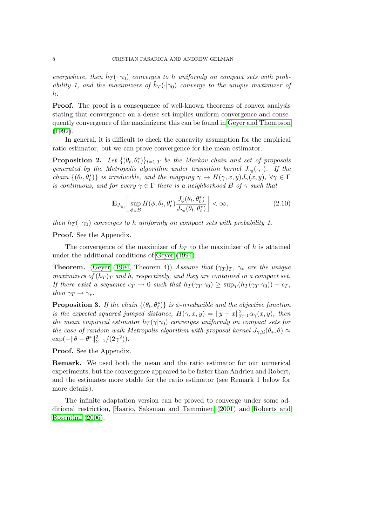<span id="page-7-0"></span>*everywhere, then*  $\hat{h}_T(\cdot|\gamma_0)$  *converges to h uniformly on compact sets with probability 1, and the maximizers of*  $\hat{h}_T(\cdot|\gamma_0)$  *converge to the unique maximizer of h.*

**Proof.** The proof is a consequence of well-known theorems of convex analysis stating that convergence on a dense set implies uniform convergence and consequently convergence of the maximizers; this can be found in Geyer and Thompson (1992).

In general, it is difficult to check the concavity assumption for the empirical ratio estimator, but we can prove convergence for the mean estimator.

**[Prop](#page-20-0)osition 2.** Let  $\{(\theta_t, \theta_t^*)\}_{t=1:T}$  be the Markov chain [and set of proposals](#page-20-0) *generated by the Metropolis algorithm under transition kernel*  $J_{\gamma_0}(\cdot, \cdot)$ . If the *chain*  $\{(\theta_t, \theta_t^*)\}$  *is irreducible, and the mapping*  $\gamma \to H(\gamma, x, y)J_\gamma(x, y), \forall \gamma \in \Gamma$ *is continuous, and for every*  $\gamma \in \Gamma$  *there is a neighborhood B of*  $\gamma$  *such that* 

$$
\mathbf{E}_{J_{\gamma_0}} \left[ \sup_{\phi \in B} H(\phi, \theta_t, \theta_t^*) \frac{J_\phi(\theta_t, \theta_t^*)}{J_{\gamma_0}(\theta_t, \theta_t^*)} \right] < \infty,\tag{2.10}
$$

*then*  $h_T(\cdot|\gamma_0)$  *converges to h uniformly on compact sets with probability 1.* 

**Proof.** See the Appendix.

The convergence of the maximizer of  $h<sub>T</sub>$  to the maximizer of  $h$  is attained under the additional conditions of Geyer (1994).

**Theorem.** (Geyer (1994, Theorem 4)) *Assume that*  $(\gamma_T)_T$ ,  $\gamma_*$  *are the unique maximizers of*  $(h_T)_T$  *and h*, *respectively, and they are contained in a compact set.* If t[h](#page-20-0)ere exist a sequence  $\epsilon_T \to 0$  [such th](#page-20-0)at  $h_T(\gamma_T|\gamma_0) \geq \sup_T(h_T(\gamma_T|\gamma_0)) - \epsilon_T$ , *then*  $\gamma_T \rightarrow \gamma_*$ *.* 

**Propositio[n 3.](#page-20-0)** *If the chain*  $\{(\theta_t, \theta_t^*)\}$  *is*  $\phi$ *-irreducible and the objective function is the expected squared jumped distance,*  $H(\gamma, x, y) = ||y - x||_{\Sigma^{-1}}^2 \alpha_{\gamma}(x, y)$ , then *the mean empirical estimator*  $h_T(\gamma|\gamma_0)$  *converges uniformly on compact sets for the case of random walk Metropolis algorithm with proposal kernel*  $J_{\gamma, \Sigma}(\theta_*, \theta) \approx$  $\exp(-\|\theta - \theta^*\|_{\Sigma^{-1}}^2/(2\gamma^2)).$ 

**Proof.** See the Appendix.

**Remark.** We used both the mean and the ratio estimator for our numerical experiments, but the convergence appeared to be faster than Andrieu and Robert, and the estimates more stable for the ratio estimator (see Remark 1 below for more details).

The infinite adaptation version can be proved to converge under some additional restriction, Haario, Saksman and Tamminen (2001) and Roberts and Rosenthal (2006).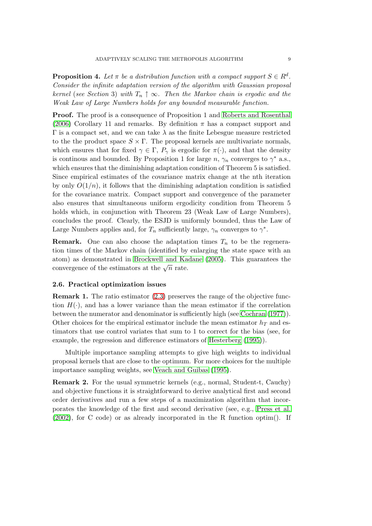**Proposition 4.** Let  $\pi$  be a distribution function with a compact support  $S \in \mathbb{R}^d$ . *Consider the infinite adaptation version of the algorithm with Gaussian proposal kernel* (*see Section* 3) *with*  $T_n \uparrow \infty$ . Then the Markov chain is ergodic and the *Weak Law of Large Numbers holds for any bounded measurable function.*

**Proof.** The proof is a consequence of Proposition 1 and Roberts and Rosenthal (2006) Corollary 11 and remarks. By definition  $\pi$  has a compact support and  $Γ$  is a compact set, and we can take  $λ$  as the finite Lebesgue measure restricted to the the product space  $S \times \Gamma$ . The proposal kernels ar[e multivariate normals,](#page-21-0) which ensures that for fixed  $\gamma \in \Gamma$ ,  $P_{\gamma}$  is ergodic for  $\pi(\cdot)$ , and that the density i[s cont](#page-21-0)inous and bounded. By Proposition 1 for large  $n, \gamma_n$  converges to  $\gamma^*$  a.s., which ensures that the diminishing adaptation condition of Theorem 5 is satisfied. Since empirical estimates of the covariance matrix change at the nth iteration by only  $O(1/n)$ , it follows that the diminishing adaptation condition is satisfied for the covariance matrix. Compact support and convergence of the parameter also ensures that simultaneous uniform ergodicity condition from Theorem 5 holds which, in conjunction with Theorem 23 (Weak Law of Large Numbers), concludes the proof. Clearly, the ESJD is uniformly bounded, thus the Law of Large Numbers applies and, for  $T_n$  sufficiently large,  $\gamma_n$  converges to  $\gamma^*$ .

**Remark.** One can also choose the adaptation times  $T_n$  to be the regeneration times of the Markov chain (identified by enlarging the state space with an atom) as demonstrated in Brockwell and Kadane (2005). This guarantees the convergence of the estimators at the  $\sqrt{n}$  rate.

#### **2.6. Practical optimization issues**

**Remark 1.** The ratio esti[mator \(2.3\) preserves th](#page-20-0)e [rang](#page-20-0)e of the objective function  $H(\cdot)$ , and has a lower variance than the mean estimator if the correlation between the numerator and denominator is sufficiently high (see Cochran (1977)). Other choices for the empirical estimator include the mean estimator  $h_T$  and estimators that use control variates [tha](#page-4-0)t sum to 1 to correct for the bias (see, for example, the regression and difference estimators of Hesterberg [\(1995\)\).](#page-20-0)

Multiple importance sampling attempts to give high weights to individual proposal kernels that are close to the optimum. For more choices for the multiple importance sampling weights, see Veach and Guibas [\(1995\).](#page-20-0)

**Remark 2.** For the usual symmetric kernels (e.g., normal, Student-t, Cauchy) and objective functions it is straightforward to derive analytical first and second order derivatives and run a few [steps of a maximiz](#page-21-0)a[tion a](#page-21-0)lgorithm that incorporates the knowledge of the first and second derivative (see, e.g., Press et al. (2002), for C code) or as already incorporated in the R function optim(). If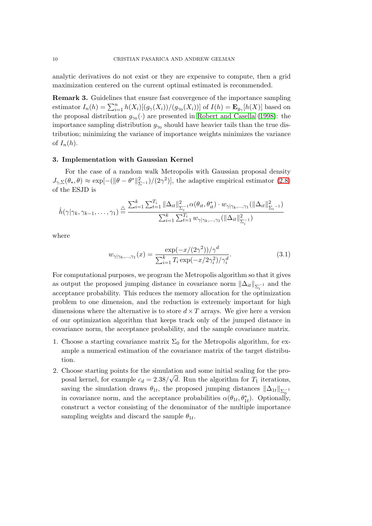analytic derivatives do not exist or they are expensive to compute, then a grid maximization centered on the current optimal estimated is recommended.

**Remark 3.** Guidelines that ensure fast convergence of the importance sampling estimator  $I_n(h) = \sum_{i=1}^n h(X_i)[(g_\gamma(X_i))/(g_{\gamma_0}(X_i))]$  of  $I(h) = \mathbf{E}_{g_\gamma}[h(X)]$  based on the proposal distribution  $g_{\gamma_0}(\cdot)$  are presented in Robert and Casella (1998): the importance sampling distribution  $g_{\gamma 0}$  should have heavier tails than the true distribution; minimizing the variance of importance weights minimizes the variance of  $I_n(h)$ .

#### **3. Implementation with Gaussian Kernel**

For the case of a random walk Metropolis with Gaussian proposal density  $J_{\gamma,\Sigma}(\theta_*,\theta) \approx \exp[-(\|\theta-\theta^*\|_{\Sigma^{-1}}^2)/(2\gamma^2)]$ , the adaptive empirical estimator (2.8) of the ESJD is

$$
\hat{h}(\gamma | \gamma_k, \gamma_{k-1}, \dots, \gamma_1) \stackrel{\triangle}{=} \frac{\sum_{i=1}^k \sum_{t=1}^{T_i} ||\Delta_{it}||_{\Sigma_i^{-1}}^2 \alpha(\theta_{it}, \theta_{it}^*) \cdot w_{\gamma | \gamma_k, \dots, \gamma_1} (||\Delta_{it}||_{\Sigma_i^{-1}}^2)}{\sum_{i=1}^k \sum_{t=1}^{T_i} w_{\gamma | \gamma_k, \dots, \gamma_1} (||\Delta_{it}||_{\Sigma_i^{-1}}^2)}
$$

where

$$
w_{\gamma|\gamma_k,\dots,\gamma_1}(x) = \frac{\exp(-x/(2\gamma^2))/\gamma^d}{\sum_{i=1}^k T_i \exp(-x/2\gamma_i^2)/\gamma_i^d}.
$$
 (3.1)

For computational purposes, we program the Metropolis algorithm so that it gives as output the proposed jumping distance in covariance norm  $\|\Delta_{it}\|_{\Sigma_i^{-1}}$  and the acceptance probability. This reduces the memory allocation for the optimization problem to one dimension, and the reduction is extremely important for high dimensions where the alternative is to store  $d \times T$  arrays. We give here a version of our optimization algorithm that keeps track only of the jumped distance in covariance norm, the acceptance probability, and the sample covariance matrix.

- 1. Choose a starting covariance matrix  $\Sigma_0$  for the Metropolis algorithm, for example a numerical estimation of the covariance matrix of the target distribution.
- 2. Choose starting points for the simulation and some initial scaling for the pro-*√* posal kernel, for example  $c_d = 2.38/\sqrt{d}$ . Run the algorithm for  $T_1$  iterations, saving the simulation draws  $\theta_{1t}$ , the proposed jumping distances  $\|\Delta_{1t}\|_{\Sigma_{0}^{-1}}$ in covariance norm, and the acceptance probabilities  $\alpha(\theta_{1t}, \theta_{1t}^*)$ . Optionally, construct a vector consisting of the denominator of the multiple importance sampling weights and discard the sample  $\theta_{1t}$ .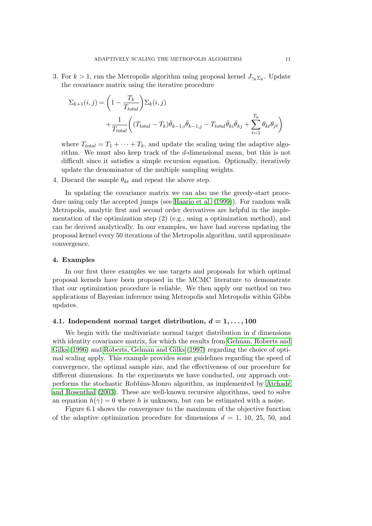3. For  $k > 1$ , run the Metropolis algorithm using proposal kernel  $J_{\gamma_k \Sigma_k}$ . Update the covariance matrix using the iterative procedure

$$
\Sigma_{k+1}(i,j) = \left(1 - \frac{T_k}{T_{total}}\right) \Sigma_k(i,j)
$$

$$
+ \frac{1}{T_{total}} \left( (T_{total} - T_k)\bar{\theta}_{k-1,i}\bar{\theta}_{k-1,j} - T_{total}\bar{\theta}_{ki}\bar{\theta}_{kj} + \sum_{t=1}^{T_k} \theta_{kt}\theta_{jt} \right)
$$

where  $T_{total} = T_1 + \cdots + T_k$ , and update the scaling using the adaptive algorithm. We must also keep track of the *d*-dimensional mean, but this is not difficult since it satisfies a simple recursion equation. Optionally, iteratively update the denominator of the multiple sampling weights.

4. Discard the sample  $\theta_{kt}$  and repeat the above step.

In updating the covariance matrix we can also use the greedy-start procedure using only the accepted jumps (see Haario et al. (1999)). For random walk Metropolis, analytic first and second order derivatives are helpful in the implementation of the optimization step  $(2)$  (e.g., using a optimization method), and can be derived analytically. In our examples, we have had success updating the proposal kernel every 50 iterations of the [Metropolis algorithm](#page-20-0), until approximate convergence.

#### **4. Examples**

In our first three examples we use targets and proposals for which optimal proposal kernels have been proposed in the MCMC literature to demonstrate that our optimization procedure is reliable. We then apply our method on two applications of Bayesian inference using Metropolis and Metropolis within Gibbs updates.

#### **4.1.** Independent normal target distribution,  $d = 1, \ldots, 100$

We begin with the multivariate normal target distribution in *d* dimensions with identity covariance matrix, for which the results from Gelman, Roberts and Gilks (1996) and Roberts, Gelman and Gilks (1997) regarding the choice of optimal scaling apply. This example provides some guidelines regarding the speed of convergence, the optimal sample size, and the effectiveness of our procedure for different dimensions. In the experiments we have conduct[ed, our approach out](#page-20-0)[performs th](#page-20-0)e sto[chastic Robbins-Monro algo](#page-21-0)r[ithm,](#page-21-0) as implemented by Atchad´e and Rosenthal (2003). These are well-known recursive algorithms, used to solve an equation  $h(\gamma) = 0$  where *h* is unknown, but can be estimated with a noise.

Figure 6.1 shows the convergence to the maximum of the objective function [of the adaptiv](#page-19-0)e [optim](#page-19-0)ization procedure for dimensions  $d = 1$ , 10, 25, [50, and](#page-19-0)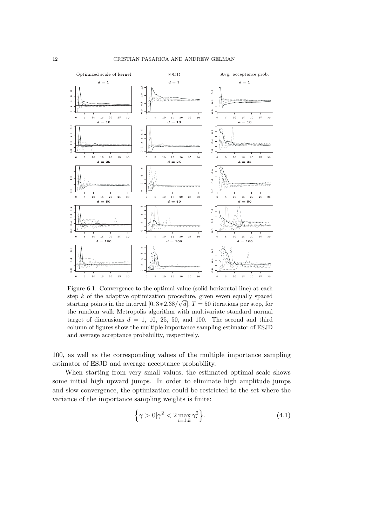

Figure 6.1. Convergence to the optimal value (solid horizontal line) at each step *k* of the adaptive optimization procedure, given seven equally spaced starting points in the interval  $[0, 3*2.38/\sqrt{d}]$ ,  $T = 50$  iterations per step, for the random walk Metropolis algorithm with multivariate standard normal target of dimensions  $d = 1$ , 10, 25, 50, and 100. The second and third column of figures show the multiple importance sampling estimator of ESJD and average acceptance probability, respectively.

100, as well as the corresponding values of the multiple importance sampling estimator of ESJD and average acceptance probability.

When starting from very small values, the estimated optimal scale shows some initial high upward jumps. In order to eliminate high amplitude jumps and slow convergence, the optimization could be restricted to the set where the variance of the importance sampling weights is finite:

$$
\left\{\gamma > 0 \middle| \gamma^2 < 2 \max_{i=1:k} \gamma_i^2 \right\}.\tag{4.1}
$$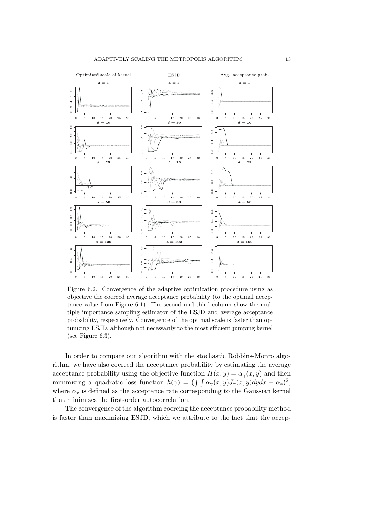

Figure 6.2. Convergence of the adaptive optimization procedure using as objective the coerced average acceptance probability (to the optimal acceptance value from Figure 6.1). The second and third column show the multiple importance sampling estimator of the ESJD and average acceptance probability, respectively. Convergence of the optimal scale is faster than optimizing ESJD, although not necessarily to the most efficient jumping kernel (see Figure 6.3).

In order to compare our algorithm with the stochastic Robbins-Monro algorithm, we have also coerced the acceptance probability by estimating the average acceptance probability using the objective function  $H(x, y) = \alpha_{\gamma}(x, y)$  and then minimizing a quadratic loss function  $h(\gamma) = (\int \int \alpha_{\gamma}(x, y) J_{\gamma}(x, y) dy dx - \alpha_{*})^{2}$ , where  $\alpha_*$  is defined as the acceptance rate corresponding to the Gaussian kernel that minimizes the first-order autocorrelation.

The convergence of the algorithm coercing the acceptance probability method is faster than maximizing ESJD, which we attribute to the fact that the accep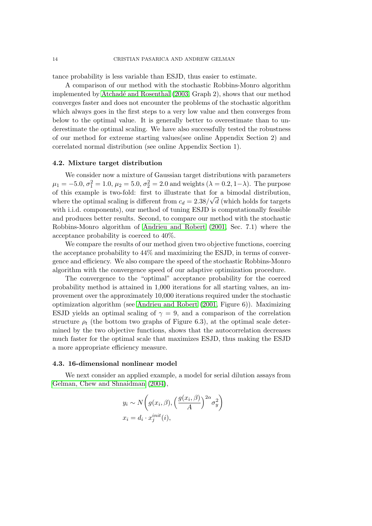tance probability is less variable than ESJD, thus easier to estimate.

A comparison of our method with the stochastic Robbins-Monro algorithm implemented by Atchadé and Rosenthal (2003, Graph 2), shows that our method converges faster and does not encounter the problems of the stochastic algorithm which always goes in the first steps to a very low value and then converges from below to the optimal value. It is generally better to overestimate than to underestimate the [optimal scaling. We have also](#page-19-0) successfully tested the robustness of our method for extreme starting values(see online Appendix Section 2) and correlated normal distribution (see online Appendix Section 1).

#### **4.2. Mixture target distribution**

We consider now a mixture of Gaussian target distributions with parameters  $\mu_1 = -5.0, \sigma_1^2 = 1.0, \mu_2 = 5.0, \sigma_2^2 = 2.0$  and weights ( $\lambda = 0.2, 1 - \lambda$ ). The purpose of this example is two-fold: first to illustrate that for a bimodal distribution, *√* where the optimal scaling is different from  $c_d = 2.38/\sqrt{d}$  (which holds for targets with i.i.d. components), our method of tuning ESJD is computationally feasible and produces better results. Second, to compare our method with the stochastic Robbins-Monro algorithm of Andrieu and Robert (2001, Sec. 7.1) where the acceptance probability is coerced to 40%.

We compare the results of our method given two objective functions, coercing the acceptance probability to 44% and maximizing the ESJD, in terms of convergence and efficiency. We also c[ompare the speed of the stoch](#page-19-0)astic Robbins-Monro algorithm with the convergence speed of our adaptive optimization procedure.

The convergence to the "optimal" acceptance probability for the coerced probability method is attained in 1,000 iterations for all starting values, an improvement over the approximately 10,000 iterations required under the stochastic optimization algorithm (see Andrieu and Robert (2001, Figure 6)). Maximizing ESJD yields an optimal scaling of  $\gamma = 9$ , and a comparison of the correlation structure  $\rho_t$  (the bottom two graphs of Figure 6.3), at the optimal scale determined by the two objective functions, shows that the autocorrelation decreases much faster for the optimal [scale that maximizes ESJD](#page-19-0), thus making the ESJD a more appropriate efficiency measure.

#### **4.3. 16-dimensional nonlinear model**

We next consider an applied example, a model for serial dilution assays from Gelman, Chew and Shnaidman (2004),

$$
y_i \sim N\left(g(x_i, \beta), \left(\frac{g(x_i, \beta)}{A}\right)^{2\alpha} \sigma_y^2\right)
$$

$$
x_i = d_i \cdot x_j^{init}(i),
$$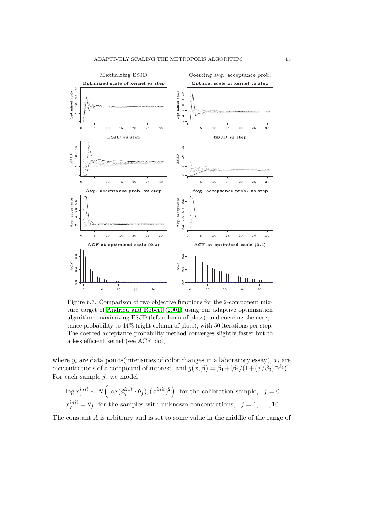

Figure 6.3. Comparison of two objective functions for the 2-component mixture target of Andrieu and Robert (2001) using our adaptive optimization algorithm: maximizing ESJD (left column of plots), and coercing the acceptance probability to 44% (right column of plots), with 50 iterations per step. The coerced acceptance probability method converges slightly faster but to a less efficient [kernel \(see ACF plot](#page-19-0))[.](#page-19-0)

where  $y_i$  are data points(intensities of color changes in a laboratory essay),  $x_i$  are concentrations of a compound of interest, and  $g(x, \beta) = \beta_1 + [\beta_2/(1 + (x/\beta_3)^{-\beta_4})]$ . For each sample *j*, we model

$$
\log x_j^{init} \sim N\Big(\log(d_j^{init} \cdot \theta_j), (\sigma^{init})^2\Big) \text{ for the calibration sample, } j = 0
$$
  

$$
x_j^{init} = \theta_j \text{ for the samples with unknown concentrations, } j = 1, ..., 10.
$$

The constant *A* is arbitrary and is set to some value in the middle of the range of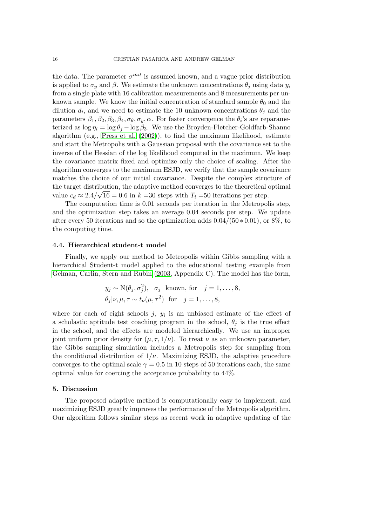the data. The parameter  $\sigma^{init}$  is assumed known, and a vague prior distribution is applied to  $\sigma_y$  and  $\beta$ . We estimate the unknown concentrations  $\theta_j$  using data  $y_i$ from a single plate with 16 calibration measurements and 8 measurements per unknown sample. We know the initial concentration of standard sample  $\theta_0$  and the dilution  $d_i$ , and we need to estimate the 10 unknown concentrations  $\theta_j$  and the parameters  $\beta_1, \beta_2, \beta_3, \beta_4, \sigma_\theta, \sigma_y, \alpha$ . For faster convergence the  $\theta_i$ 's are reparameterized as  $\log \eta_i = \log \theta_i - \log \beta_3$ . We use the Broyden-Fletcher-Goldfarb-Shanno algorithm (e.g., Press et al. (2002)), to find the maximum likelihood, estimate and start the Metropolis with a Gaussian proposal with the covariance set to the inverse of the Hessian of the log likelihood computed in the maximum. We keep the covariance matrix fixed and optimize only the choice of scaling. After the algorithm conve[rges to the maximu](#page-20-0)m ESJD, we verify that the sample covariance matches the choice of our initial covariance. Despite the complex structure of the target distribution, the adaptive method converges to the theoretical optimal *√* value  $c_d \approx 2.4/\sqrt{16} = 0.6$  in  $k = 30$  steps with  $T_i = 50$  iterations per step.

The computation time is 0.01 seconds per iteration in the Metropolis step, and the optimization step takes an average 0.04 seconds per step. We update after every 50 iterations and so the optimization adds 0*.*04*/*(50 *∗* 0*.*01), or 8%, to the computing time.

#### **4.4. Hierarchical student-t model**

Finally, we apply our method to Metropolis within Gibbs sampling with a hierarchical Student-t model applied to the educational testing example from Gelman, Carlin, Stern and Rubin (2003, Appendix C). The model has the form,

$$
y_j \sim N(\theta_j, \sigma_j^2)
$$
,  $\sigma_j$  known, for  $j = 1, ..., 8$ ,  
\n $\theta_j | \nu, \mu, \tau \sim t_\nu(\mu, \tau^2)$  for  $j = 1, ..., 8$ ,

where for each of eight schools  $j, y_i$  is an unbiased estimate of the effect of a scholastic aptitude test coaching program in the school,  $\theta_j$  is the true effect in the school, and the effects are modeled hierarchically. We use an improper joint uniform prior density for  $(\mu, \tau, 1/\nu)$ . To treat  $\nu$  as an unknown parameter, the Gibbs sampling simulation includes a Metropolis step for sampling from the conditional distribution of  $1/\nu$ . Maximizing ESJD, the adaptive procedure converges to the optimal scale  $\gamma = 0.5$  in 10 steps of 50 iterations each, the same optimal value for coercing the acceptance probability to 44%.

#### **5. Discussion**

The proposed adaptive method is computationally easy to implement, and maximizing ESJD greatly improves the performance of the Metropolis algorithm. Our algorithm follows similar steps as recent work in adaptive updating of the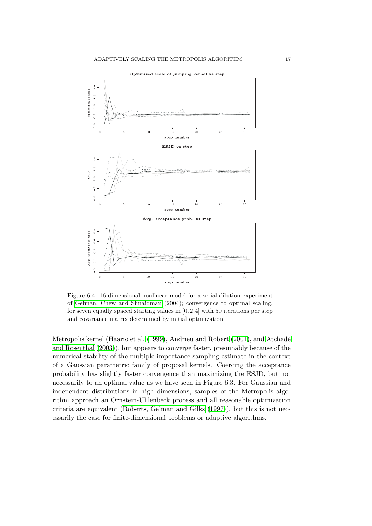

Figure 6.4. 16-dimensional nonlinear model for a serial dilution experiment of Gelman, Chew and Shnaidman (2004); convergence to optimal scaling, for seven equally spaced starting values in [0*,* 2*.*4] with 50 iterations per step and covariance matrix determined by initial optimization.

Metrop[olis kernel \(Haario et al.](#page-20-0) (1999), [And](#page-20-0)rieu and Robert (2001), and Atchad´e and Rosenthal (2003)), but appears to converge faster, presumably because of the numerical stability of the multiple importance sampling estimate in the context of a Gaussian parametric family of proposal kernels. Coercing the acceptance probability has sli[ghtly faster converg](#page-20-0)[ence than maximizing the E](#page-19-0)SJD[, but not](#page-19-0) [necessarily to an opt](#page-19-0)imal value as we have seen in Figure 6.3. For Gaussian and independent distributions in high dimensions, samples of the Metropolis algorithm approach an Ornstein-Uhlenbeck process and all reasonable optimization criteria are equivalent (Roberts, Gelman and Gilks (1997)), but this is not necessarily the case for finite-dimensional problems or adaptive algorithms.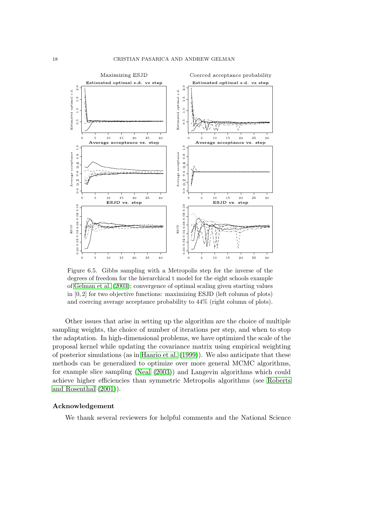

Figure 6.5. Gibbs sampling with a Metropolis step for the inverse of the degrees of freedom for the hierarchical t model for the eight schools example of Gelman et al. (2003); convergence of optimal scaling given starting values in [0*,* 2] for two objective functions: maximizing ESJD (left column of plots) and coercing average acceptance probability to 44% (right column of plots).

Ot[her issues that aris](#page-20-0)e in setting up the algorithm are the choice of multiple sampling weights, the choice of number of iterations per step, and when to stop the adaptation. In high-dimensional problems, we have optimized the scale of the proposal kernel while updating the covariance matrix using empirical weighting of posterior simulations (as in Haario et al. (1999)). We also anticipate that these methods can be generalized to optimize over more general MCMC algorithms, for example slice sampling (Neal (2003)) and Langevin algorithms which could achieve higher efficiencies th[an symmetric Metr](#page-20-0)opolis algorithms (see Roberts and Rosenthal (2001)).

### **Acknowledgement**

[We thank](#page-21-0) [severa](#page-21-0)l reviewers for helpful comments and the National [Science](#page-21-0)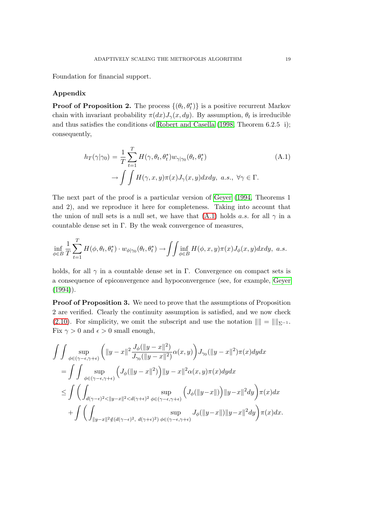Foundation for financial support.

## **Appendix**

**Proof of Proposition 2.** The process  $\{(\theta_t, \theta_t^*)\}$  is a positive recurrent Markov chain with invariant probability  $\pi(dx)J_{\gamma}(x, dy)$ . By assumption,  $\theta_t$  is irreducible and thus satisfies the conditions of Robert and Casella (1998, Theorem 6.2.5 i); consequently,

$$
h_T(\gamma|\gamma_0) = \frac{1}{T} \sum_{t=1}^T H(\gamma, \theta_t, \theta_t^*) w_{\gamma|\gamma_0}(\theta_t, \theta_t^*)
$$
  
\n
$$
\to \int \int H(\gamma, x, y) \pi(x) J_\gamma(x, y) dx dy, \ a.s., \ \forall \gamma \in \Gamma.
$$
\n(A.1)

The next part of the proof is a particular version of Geyer (1994, Theorems 1 and 2), and we reproduce it here for completeness. Taking into account that the union of null sets is a null set, we have that  $(A.1)$  holds *a.s.* for all  $\gamma$  in a countable dense set in Γ. By the weak convergence of [measu](#page-20-0)r[es,](#page-20-0)

$$
\inf_{\phi \in B} \frac{1}{T} \sum_{t=1}^T H(\phi, \theta_t, \theta_t^*) \cdot w_{\phi|\gamma_0}(\theta_t, \theta_t^*) \to \iint_{\phi \in B} \inf_{H} H(\phi, x, y) \pi(x) J_{\phi}(x, y) dx dy, \ a.s.
$$

holds, for all  $\gamma$  in a countable dense set in Γ. Convergence on compact sets is a consequence of epiconvergence and hypoconvergence (see, for example, Geyer  $(1994)$ .

**Proof of Proposition 3.** We need to prove that the assumptions of Proposition 2 are verified. Clearly the continuity assumption is satisfied, and we now [check](#page-20-0) [\(2.10\)](#page-20-0). For simplicity, we omit the subscript and use the notation  $\| \| = \| \|_{\Sigma^{-1}}$ . Fix  $\gamma > 0$  and  $\epsilon > 0$  small enough,

$$
\begin{split} &\int\int \sup_{\phi\in(\gamma-\epsilon,\gamma+\epsilon)}\left(\|y-x\|^2\frac{J_\phi(\|y-x\|^2)}{J_{\gamma_0}(\|y-x\|^2)}\alpha(x,y)\right)J_{\gamma_0}(\|y-x\|^2)\pi(x)dydx\\ &=\int\int \sup_{\phi\in(\gamma-\epsilon,\gamma+\epsilon)}\left(J_\phi(\|y-x\|^2)\right)\|y-x\|^2\alpha(x,y)\pi(x)dydx\\ &\leq \int\left(\int_{d(\gamma-\epsilon)^2<\|y-x\|^2< d(\gamma+\epsilon)^2}\sup_{\phi\in(\gamma-\epsilon,\gamma+\epsilon)}\left(J_\phi(\|y-x\|)\right)\|y-x\|^2dy\right)\pi(x)dx\\ &+\int\left(\int_{\|y-x\|^2\notin(d(\gamma-\epsilon)^2,\ d(\gamma+\epsilon)^2)}\sup_{\phi\in(\gamma-\epsilon,\gamma+\epsilon)}J_\phi(\|y-x\|)\|y-x\|^2dy\right)\pi(x)dx. \end{split}
$$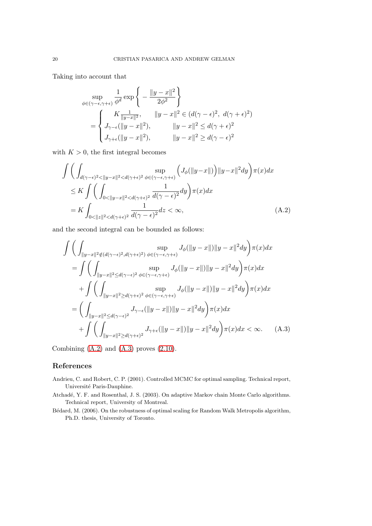<span id="page-19-0"></span>Taking into account that

$$
\sup_{\phi \in (\gamma - \epsilon, \gamma + \epsilon)} \frac{1}{\phi^d} \exp \left\{ - \frac{\|y - x\|^2}{2\phi^2} \right\}
$$
\n
$$
= \begin{cases}\nK \frac{1}{\|y - x\|^2}, & \|y - x\|^2 \in (d(\gamma - \epsilon)^2, d(\gamma + \epsilon)^2) \\
J_{\gamma - \epsilon}(\|y - x\|^2), & \|y - x\|^2 \le d(\gamma + \epsilon)^2 \\
J_{\gamma + \epsilon}(\|y - x\|^2), & \|y - x\|^2 \ge d(\gamma - \epsilon)^2\n\end{cases}
$$

with  $K > 0$ , the first integral becomes

$$
\int \left( \int_{d(\gamma-\epsilon)^2 < ||y-x||^2 < d(\gamma+\epsilon)^2} \sup_{\phi \in (\gamma-\epsilon,\gamma+\epsilon)} \left( J_{\phi}(\Vert y-x \Vert) \right) ||y-x||^2 dy \right) \pi(x) dx
$$
\n
$$
\leq K \int \left( \int_{0 < ||y-x||^2 < d(\gamma+\epsilon)^2} \frac{1}{d(\gamma-\epsilon)^2} dy \right) \pi(x) dx
$$
\n
$$
= K \int_{0 < ||z||^2 < d(\gamma+\epsilon)^2} \frac{1}{d(\gamma-\epsilon)^2} dz < \infty, \tag{A.2}
$$

and the second integral can be bounded as follows:

$$
\int \left( \int_{\|y-x\|^2 \notin (d(\gamma-\epsilon)^2, d(\gamma+\epsilon)^2)} \sup_{\phi \in (\gamma-\epsilon, \gamma+\epsilon)} J_{\phi}(\|y-x\|) \|y-x\|^2 dy \right) \pi(x) dx
$$
  
\n
$$
= \int \left( \int_{\|y-x\|^2 \le d(\gamma-\epsilon)^2} \sup_{\phi \in (\gamma-\epsilon, \gamma+\epsilon)} J_{\phi}(\|y-x\|) \|y-x\|^2 dy \right) \pi(x) dx
$$
  
\n
$$
+ \int \left( \int_{\|y-x\|^2 \ge d(\gamma+\epsilon)^2} \sup_{\phi \in (\gamma-\epsilon, \gamma+\epsilon)} J_{\phi}(\|y-x\|) \|y-x\|^2 dy \right) \pi(x) dx
$$
  
\n
$$
= \left( \int_{\|y-x\|^2 \le d(\gamma-\epsilon)^2} J_{\gamma-\epsilon}(\|y-x\|) \|y-x\|^2 dy \right) \pi(x) dx
$$
  
\n
$$
+ \int \left( \int_{\|y-x\|^2 \ge d(\gamma+\epsilon)^2} J_{\gamma+\epsilon}(\|y-x\|) \|y-x\|^2 dy \right) \pi(x) dx < \infty.
$$
 (A.3)

Combining  $(A.2)$  and  $(A.3)$  proves  $(2.10)$ .

## **References**

- Andrieu, C. and Robert, C. P. (2001). Cont[rolled](#page-7-0) MCMC for optimal sampling. Technical report, Université Paris-Dauphine.
- Atchadé, Y. F. and Rosenthal, J. S. (2003). On adaptive Markov chain Monte Carlo algorithms. Technical report, University of Montreal.
- B´edard, M. (2006). On the robustness of optimal scaling for Random Walk Metropolis algorithm, Ph.D. thesis, University of Toronto.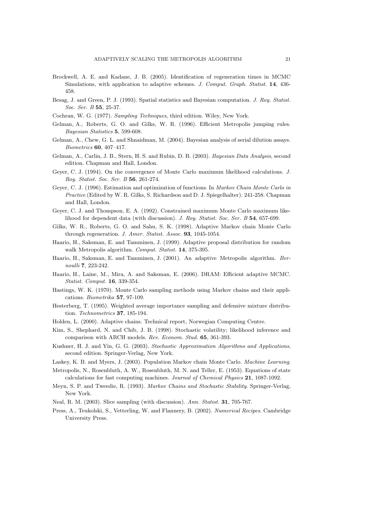- <span id="page-20-0"></span>Brockwell, A. E. and Kadane, J. B. (2005). Identification of regeneration times in MCMC Simulations, with application to adaptive schemes. *J. Comput. Graph. Statist.* **14**, 436- 458.
- Besag, J. and Green, P. J. (1993). Spatial statistics and Bayesian computation. *J. Roy. Statist. Soc. Ser. B* **55**, 25-37.
- Cochran, W. G. (1977). *Sampling Techniques*, third edition. Wiley, New York.
- Gelman, A., Roberts, G. O. and Gilks, W. R. (1996). Efficient Metropolis jumping rules. *Bayesian Statistics* **5**, 599-608.
- Gelman, A., Chew, G. L. and Shnaidman, M. (2004). Bayesian analysis of serial dilution assays. *Biometrics* **60**, 407–417.
- Gelman, A., Carlin, J. B., Stern, H. S. and Rubin, D. B. (2003). *Bayesian Data Analysis*, second edition. Chapman and Hall, London.
- Geyer, C. J. (1994). On the convergence of Monte Carlo maximum likelihood calculations. *J. Roy. Statist. Soc. Ser. B* **56**, 261-274.
- Geyer, C. J. (1996). Estimation and optimization of functions. In *Markov Chain Monte Carlo in Practice* (Edited by W. R. Gilks, S. Richardson and D. J. Spiegelhalter). 241-258. Chapman and Hall, London.
- Geyer, C. J. and Thompson, E. A. (1992). Constrained maximum Monte Carlo maximum likelihood for dependent data (with discussion). *J. Roy. Statist. Soc. Ser. B* **54**, 657-699.
- Gilks, W. R., Roberts, G. O. and Sahu, S. K. (1998). Adaptive Markov chain Monte Carlo through regeneration. *J. Amer. Statist. Assoc.* **93**, 1045-1054.
- Haario, H., Saksman, E. and Tamminen, J. (1999). Adaptive proposal distribution for random walk Metropolis algorithm. *Comput. Statist.* **14**, 375-395.
- Haario, H., Saksman, E. and Tamminen, J. (2001). An adaptive Metropolis algorithm. *Bernoulli* **7**, 223-242.
- Haario, H., Laine, M., Mira, A. and Saksman, E. (2006). DRAM: Efficient adaptive MCMC. *Statist. Comput.* **16**, 339-354.
- Hastings, W. K. (1970). Monte Carlo sampling methods using Markov chains and their applications. *Biometrika* **57**, 97-109.
- Hesterberg, T. (1995). Weighted average importance sampling and defensive mixture distribution. *Technometrics* **37**, 185-194.
- Holden, L. (2000). Adaptive chains. Technical report, Norwegian Computing Centre.
- Kim, S., Shephard, N. and Chib, J. B. (1998). Stochastic volatility; likelihood inference and comparison with ARCH models. *Rev. Econom. Stud.* **65**, 361-393.
- Kushner, H. J. and Yin, G. G. (2003). *Stochastic Approximation Algorithms and Applications*, second edition. Springer-Verlag, New York.
- Laskey, K. B. and Myers, J. (2003). Population Markov chain Monte Carlo. *Machine Learning*.
- Metropolis, N., Rosenbluth, A. W., Rosenbluth, M. N. and Teller, E. (1953). Equations of state calculations for fast computing machines. *Journal of Chemical Physics* **21**, 1087-1092.
- Meyn, S. P. and Tweedie, R. (1993). *Markov Chains and Stochastic Stability*. Springer-Verlag, New York.
- Neal, R. M. (2003). Slice sampling (with discussion). *Ann. Statist.* **31**, 705-767.
- Press, A., Teukolski, S., Vetterling, W. and Flannery, B. (2002). *Numerical Recipes*. Cambridge University Press.